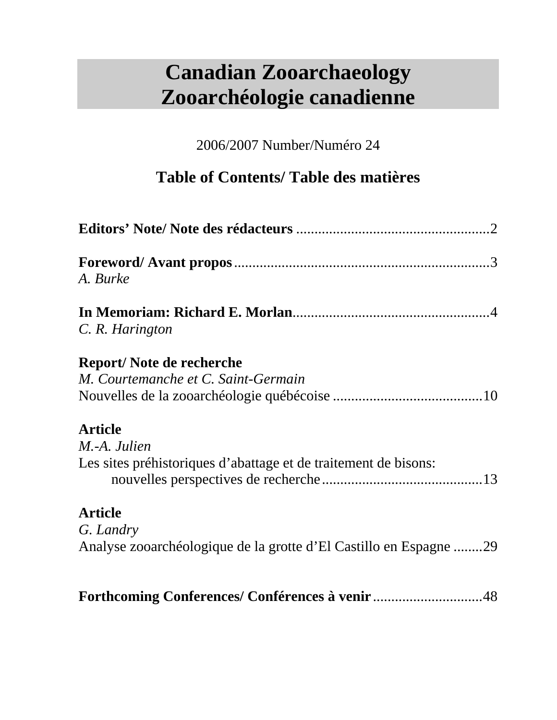# **Canadian Zooarchaeology Zooarchéologie canadienne**

2006/2007 Number/Numéro 24

## **Table of Contents/ Table des matières**

| A. Burke                                                                                          |
|---------------------------------------------------------------------------------------------------|
| C. R. Harington                                                                                   |
| Report/Note de recherche                                                                          |
| M. Courtemanche et C. Saint-Germain                                                               |
| <b>Article</b><br>M.-A. Julien<br>Les sites préhistoriques d'abattage et de traitement de bisons: |
| <b>Article</b><br>G. Landry<br>Analyse zooarchéologique de la grotte d'El Castillo en Espagne 29  |
|                                                                                                   |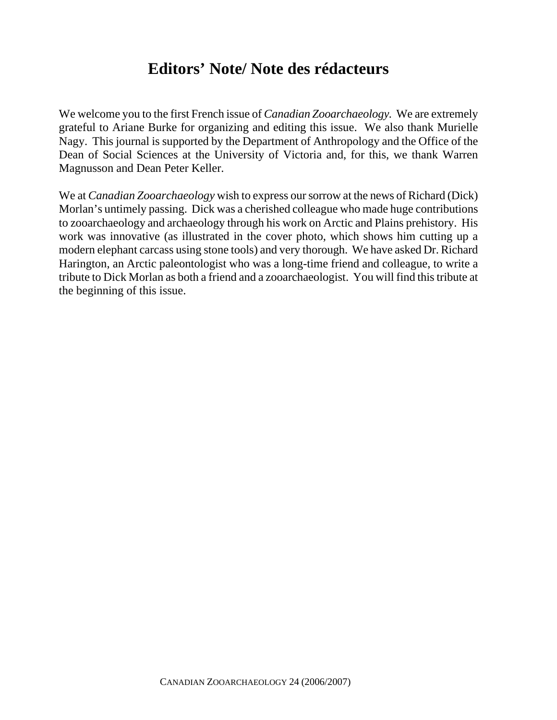#### **Editors' Note/ Note des rédacteurs**

We welcome you to the first French issue of *Canadian Zooarchaeology.* We are extremely grateful to Ariane Burke for organizing and editing this issue. We also thank Murielle Nagy. This journal is supported by the Department of Anthropology and the Office of the Dean of Social Sciences at the University of Victoria and, for this, we thank Warren Magnusson and Dean Peter Keller.

We at *Canadian Zooarchaeology* wish to express our sorrow at the news of Richard (Dick) Morlan's untimely passing. Dick was a cherished colleague who made huge contributions to zooarchaeology and archaeology through his work on Arctic and Plains prehistory. His work was innovative (as illustrated in the cover photo, which shows him cutting up a modern elephant carcass using stone tools) and very thorough. We have asked Dr. Richard Harington, an Arctic paleontologist who was a long-time friend and colleague, to write a tribute to Dick Morlan as both a friend and a zooarchaeologist. You will find this tribute at the beginning of this issue.